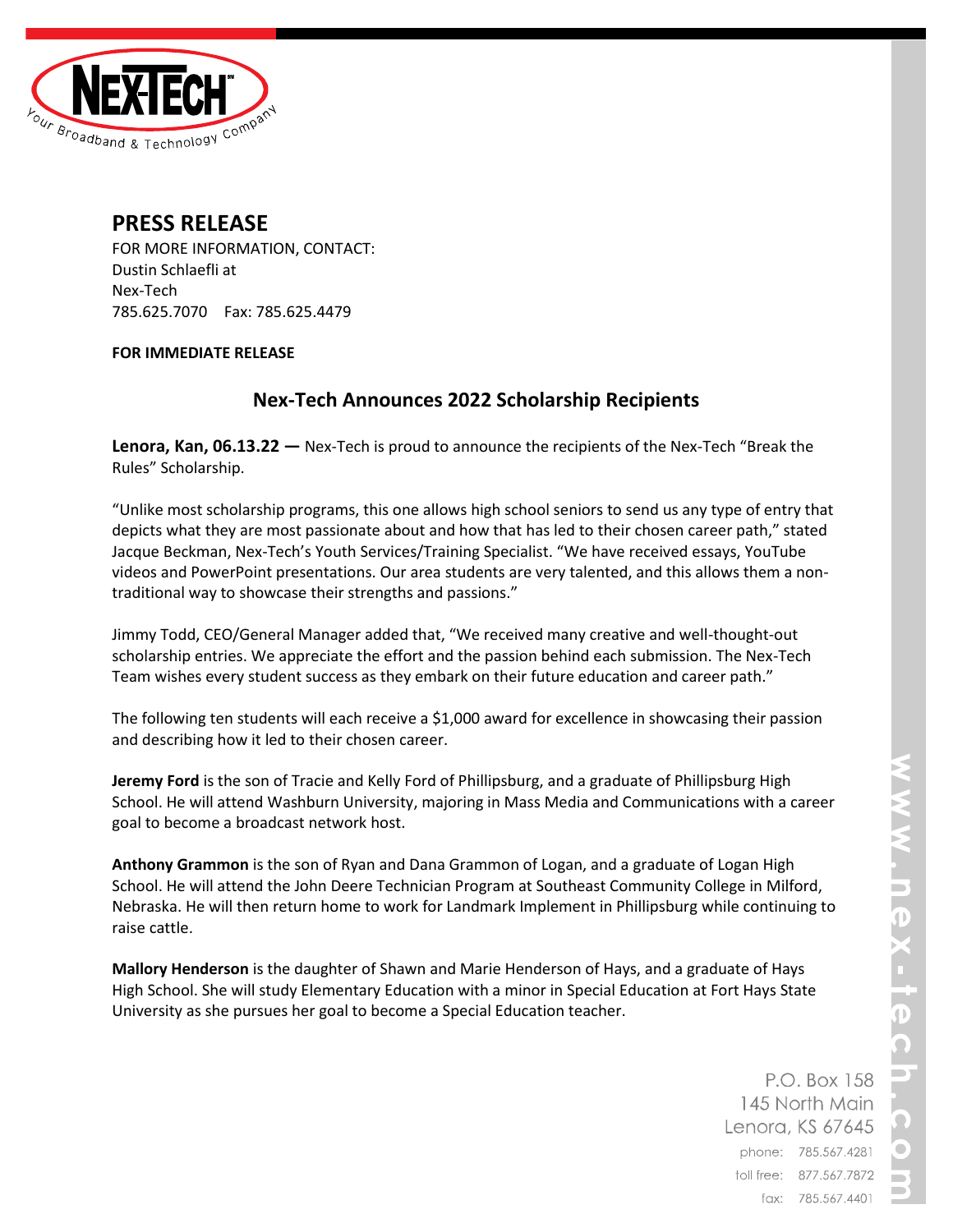

## **PRESS RELEASE**

FOR MORE INFORMATION, CONTACT: Dustin Schlaefli at Nex-Tech 785.625.7070 Fax: 785.625.4479

## **FOR IMMEDIATE RELEASE**

## **Nex-Tech Announces 2022 Scholarship Recipients**

**Lenora, Kan, 06.13.22 —** Nex-Tech is proud to announce the recipients of the Nex-Tech "Break the Rules" Scholarship.

"Unlike most scholarship programs, this one allows high school seniors to send us any type of entry that depicts what they are most passionate about and how that has led to their chosen career path," stated Jacque Beckman, Nex-Tech's Youth Services/Training Specialist. "We have received essays, YouTube videos and PowerPoint presentations. Our area students are very talented, and this allows them a nontraditional way to showcase their strengths and passions."

Jimmy Todd, CEO/General Manager added that, "We received many creative and well-thought-out scholarship entries. We appreciate the effort and the passion behind each submission. The Nex-Tech Team wishes every student success as they embark on their future education and career path."

The following ten students will each receive a \$1,000 award for excellence in showcasing their passion and describing how it led to their chosen career.

**Jeremy Ford** is the son of Tracie and Kelly Ford of Phillipsburg, and a graduate of Phillipsburg High School. He will attend Washburn University, majoring in Mass Media and Communications with a career goal to become a broadcast network host.

**Anthony Grammon** is the son of Ryan and Dana Grammon of Logan, and a graduate of Logan High School. He will attend the John Deere Technician Program at Southeast Community College in Milford, Nebraska. He will then return home to work for Landmark Implement in Phillipsburg while continuing to raise cattle.

**Mallory Henderson** is the daughter of Shawn and Marie Henderson of Hays, and a graduate of Hays High School. She will study Elementary Education with a minor in Special Education at Fort Hays State University as she pursues her goal to become a Special Education teacher.

> P.O. Box 158 145 North Main Lenora, KS 67645 phone: 785.567.4281 toll free: 877.567.7872 fax: 785.567.4401